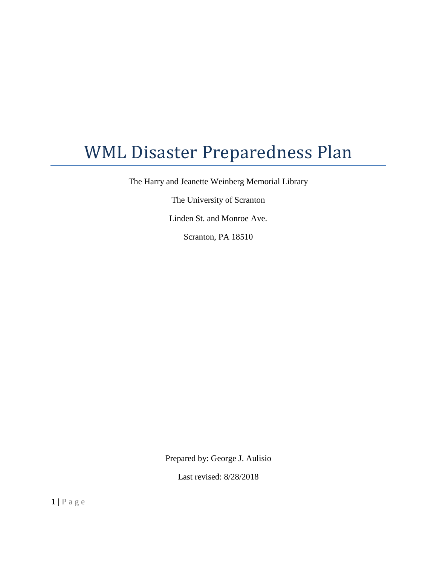# WML Disaster Preparedness Plan

The Harry and Jeanette Weinberg Memorial Library

The University of Scranton

Linden St. and Monroe Ave.

Scranton, PA 18510

Prepared by: George J. Aulisio

Last revised: 8/28/2018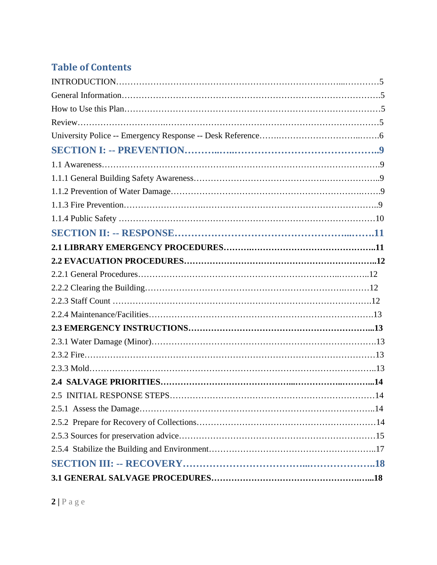## **Table of Contents**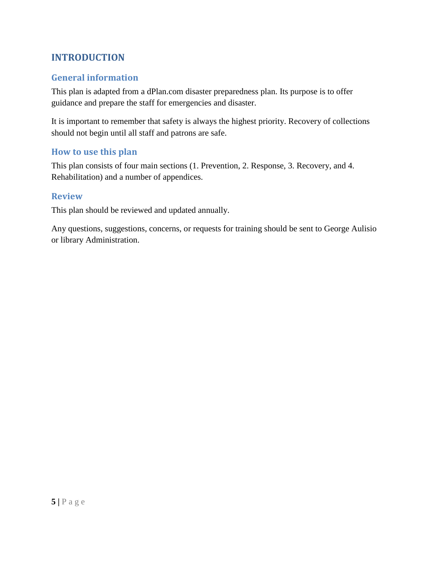## **INTRODUCTION**

## **General information**

This plan is adapted from a dPlan.com disaster preparedness plan. Its purpose is to offer guidance and prepare the staff for emergencies and disaster.

It is important to remember that safety is always the highest priority. Recovery of collections should not begin until all staff and patrons are safe.

### **How to use this plan**

This plan consists of four main sections (1. Prevention, 2. Response, 3. Recovery, and 4. Rehabilitation) and a number of appendices.

#### **Review**

This plan should be reviewed and updated annually.

Any questions, suggestions, concerns, or requests for training should be sent to George Aulisio or library Administration.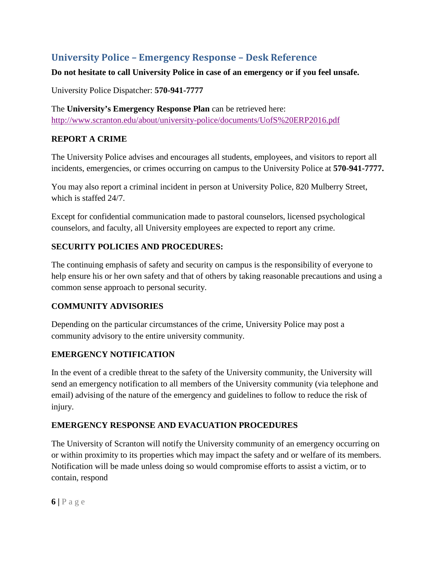## **University Police – Emergency Response – Desk Reference**

#### **Do not hesitate to call University Police in case of an emergency or if you feel unsafe.**

University Police Dispatcher: **570-941-7777**

The **University's Emergency Response Plan** can be retrieved here: <http://www.scranton.edu/about/university-police/documents/UofS%20ERP2016.pdf>

#### **REPORT A CRIME**

The University Police advises and encourages all students, employees, and visitors to report all incidents, emergencies, or crimes occurring on campus to the University Police at **570-941-7777.**

You may also report a criminal incident in person at University Police, 820 Mulberry Street, which is staffed  $24/7$ .

Except for confidential communication made to pastoral counselors, licensed psychological counselors, and faculty, all University employees are expected to report any crime.

#### **SECURITY POLICIES AND PROCEDURES:**

The continuing emphasis of safety and security on campus is the responsibility of everyone to help ensure his or her own safety and that of others by taking reasonable precautions and using a common sense approach to personal security.

#### **COMMUNITY ADVISORIES**

Depending on the particular circumstances of the crime, University Police may post a community advisory to the entire university community.

#### **EMERGENCY NOTIFICATION**

In the event of a credible threat to the safety of the University community, the University will send an emergency notification to all members of the University community (via telephone and email) advising of the nature of the emergency and guidelines to follow to reduce the risk of injury.

#### **EMERGENCY RESPONSE AND EVACUATION PROCEDURES**

The University of Scranton will notify the University community of an emergency occurring on or within proximity to its properties which may impact the safety and or welfare of its members. Notification will be made unless doing so would compromise efforts to assist a victim, or to contain, respond

 $6|$  **P** a g e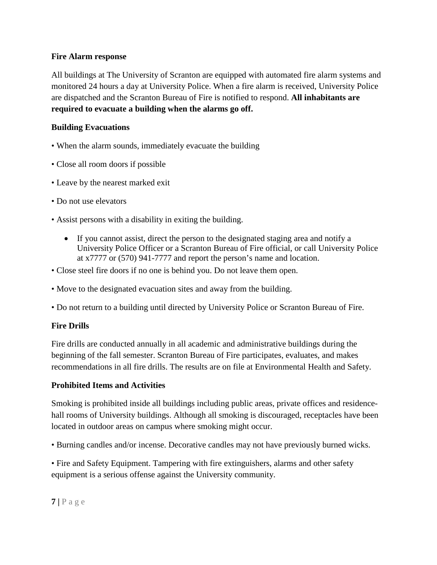#### **Fire Alarm response**

All buildings at The University of Scranton are equipped with automated fire alarm systems and monitored 24 hours a day at University Police. When a fire alarm is received, University Police are dispatched and the Scranton Bureau of Fire is notified to respond. **All inhabitants are required to evacuate a building when the alarms go off.** 

#### **Building Evacuations**

- When the alarm sounds, immediately evacuate the building
- Close all room doors if possible
- Leave by the nearest marked exit
- Do not use elevators
- Assist persons with a disability in exiting the building.
	- If you cannot assist, direct the person to the designated staging area and notify a University Police Officer or a Scranton Bureau of Fire official, or call University Police at x7777 or (570) 941-7777 and report the person's name and location.
- Close steel fire doors if no one is behind you. Do not leave them open.
- Move to the designated evacuation sites and away from the building.
- Do not return to a building until directed by University Police or Scranton Bureau of Fire.

## **Fire Drills**

Fire drills are conducted annually in all academic and administrative buildings during the beginning of the fall semester. Scranton Bureau of Fire participates, evaluates, and makes recommendations in all fire drills. The results are on file at Environmental Health and Safety.

#### **Prohibited Items and Activities**

Smoking is prohibited inside all buildings including public areas, private offices and residencehall rooms of University buildings. Although all smoking is discouraged, receptacles have been located in outdoor areas on campus where smoking might occur.

• Burning candles and/or incense. Decorative candles may not have previously burned wicks.

• Fire and Safety Equipment. Tampering with fire extinguishers, alarms and other safety equipment is a serious offense against the University community.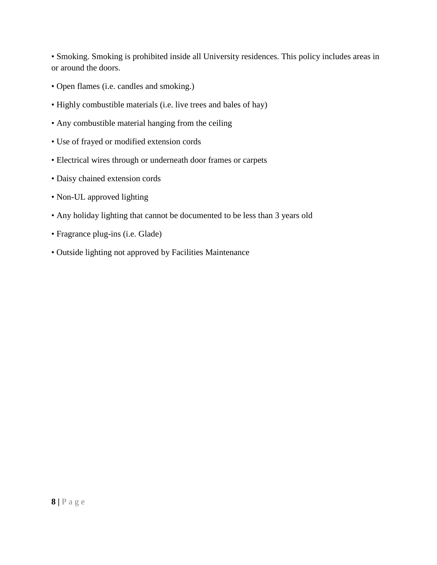• Smoking. Smoking is prohibited inside all University residences. This policy includes areas in or around the doors.

- Open flames (i.e. candles and smoking.)
- Highly combustible materials (i.e. live trees and bales of hay)
- Any combustible material hanging from the ceiling
- Use of frayed or modified extension cords
- Electrical wires through or underneath door frames or carpets
- Daisy chained extension cords
- Non-UL approved lighting
- Any holiday lighting that cannot be documented to be less than 3 years old
- Fragrance plug-ins (i.e. Glade)
- Outside lighting not approved by Facilities Maintenance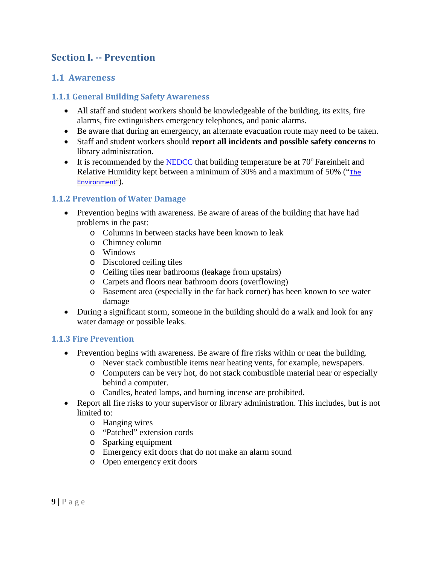## **Section I. -- Prevention**

#### **1.1 Awareness**

#### **1.1.1 General Building Safety Awareness**

- All staff and student workers should be knowledgeable of the building, its exits, fire alarms, fire extinguishers emergency telephones, and panic alarms.
- Be aware that during an emergency, an alternate evacuation route may need to be taken.
- Staff and student workers should **report all incidents and possible safety concerns** to library administration.
- It is recommended by the [NEDCC](http://www.nedcc.org/home.php) that building temperature be at  $70^{\circ}$  Fareinheit and Relative Humidity kept between a minimum of 30% and a maximum of 50% ("[The](http://www.nedcc.org/resources/leaflets/2The_Environment/01BasicGuidelines.php) [Environment"](http://www.nedcc.org/resources/leaflets/2The_Environment/01BasicGuidelines.php)).

#### **1.1.2 Prevention of Water Damage**

- Prevention begins with awareness. Be aware of areas of the building that have had problems in the past:
	- o Columns in between stacks have been known to leak
	- o Chimney column
	- o Windows
	- o Discolored ceiling tiles
	- o Ceiling tiles near bathrooms (leakage from upstairs)
	- o Carpets and floors near bathroom doors (overflowing)
	- o Basement area (especially in the far back corner) has been known to see water damage
- During a significant storm, someone in the building should do a walk and look for any water damage or possible leaks.

#### **1.1.3 Fire Prevention**

- Prevention begins with awareness. Be aware of fire risks within or near the building.
	- o Never stack combustible items near heating vents, for example, newspapers.
	- o Computers can be very hot, do not stack combustible material near or especially behind a computer.
	- o Candles, heated lamps, and burning incense are prohibited.
- Report all fire risks to your supervisor or library administration. This includes, but is not limited to:
	- o Hanging wires
	- o "Patched" extension cords
	- o Sparking equipment
	- o Emergency exit doors that do not make an alarm sound
	- o Open emergency exit doors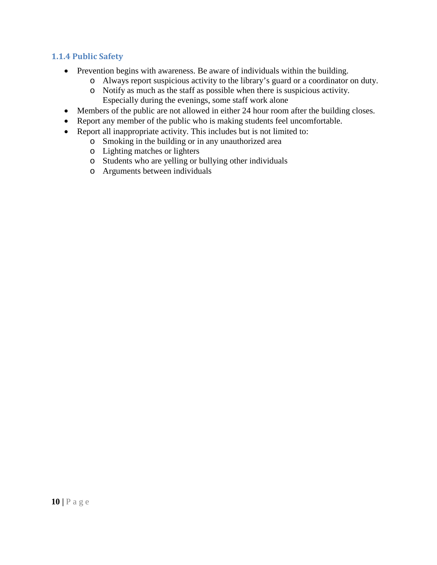#### **1.1.4 Public Safety**

- Prevention begins with awareness. Be aware of individuals within the building.
	- o Always report suspicious activity to the library's guard or a coordinator on duty.
	- o Notify as much as the staff as possible when there is suspicious activity. Especially during the evenings, some staff work alone
- Members of the public are not allowed in either 24 hour room after the building closes.
- Report any member of the public who is making students feel uncomfortable.
- Report all inappropriate activity. This includes but is not limited to:
	- o Smoking in the building or in any unauthorized area
	- o Lighting matches or lighters
	- o Students who are yelling or bullying other individuals
	- o Arguments between individuals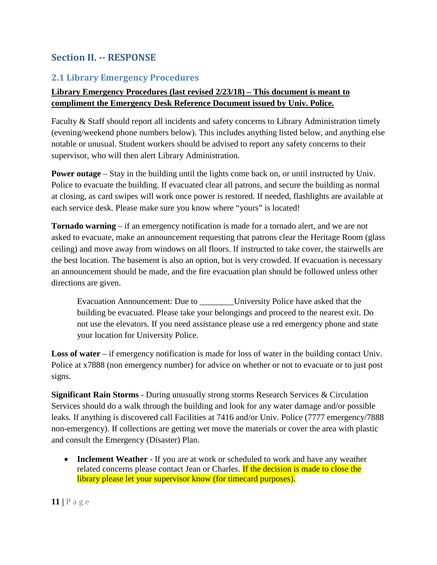## **Section II. -- RESPONSE**

## **2.1 Library Emergency Procedures**

#### **Library Emergency Procedures (last revised 2/23/18) – This document is meant to compliment the Emergency Desk Reference Document issued by Univ. Police.**

Faculty & Staff should report all incidents and safety concerns to Library Administration timely (evening/weekend phone numbers below). This includes anything listed below, and anything else notable or unusual. Student workers should be advised to report any safety concerns to their supervisor, who will then alert Library Administration.

**Power outage** – Stay in the building until the lights come back on, or until instructed by Univ. Police to evacuate the building. If evacuated clear all patrons, and secure the building as normal at closing, as card swipes will work once power is restored. If needed, flashlights are available at each service desk. Please make sure you know where "yours" is located!

**Tornado warning** – if an emergency notification is made for a tornado alert, and we are not asked to evacuate, make an announcement requesting that patrons clear the Heritage Room (glass ceiling) and move away from windows on all floors. If instructed to take cover, the stairwells are the best location. The basement is also an option, but is very crowded. If evacuation is necessary an announcement should be made, and the fire evacuation plan should be followed unless other directions are given.

Evacuation Announcement: Due to \_\_\_\_\_\_\_\_University Police have asked that the building be evacuated. Please take your belongings and proceed to the nearest exit. Do not use the elevators. If you need assistance please use a red emergency phone and state your location for University Police.

**Loss of water** – if emergency notification is made for loss of water in the building contact Univ. Police at x7888 (non emergency number) for advice on whether or not to evacuate or to just post signs.

**Significant Rain Storms** - During unusually strong storms Research Services & Circulation Services should do a walk through the building and look for any water damage and/or possible leaks. If anything is discovered call Facilities at 7416 and/or Univ. Police (7777 emergency/7888 non-emergency). If collections are getting wet move the materials or cover the area with plastic and consult the Emergency (Disaster) Plan.

• **Inclement Weather** - If you are at work or scheduled to work and have any weather related concerns please contact Jean or Charles. If the decision is made to close the library please let your supervisor know (for timecard purposes).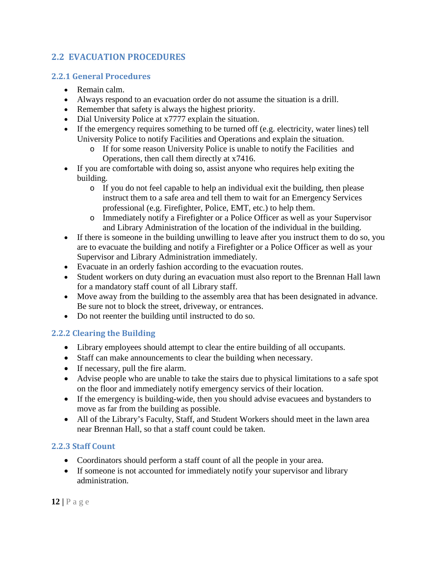## **2.2 EVACUATION PROCEDURES**

#### **2.2.1 General Procedures**

- Remain calm.
- Always respond to an evacuation order do not assume the situation is a drill.
- Remember that safety is always the highest priority.
- Dial University Police at x7777 explain the situation.
- If the emergency requires something to be turned off (e.g. electricity, water lines) tell University Police to notify Facilities and Operations and explain the situation.
	- o If for some reason University Police is unable to notify the Facilities and Operations, then call them directly at x7416.
- If you are comfortable with doing so, assist anyone who requires help exiting the building.
	- o If you do not feel capable to help an individual exit the building, then please instruct them to a safe area and tell them to wait for an Emergency Services professional (e.g. Firefighter, Police, EMT, etc.) to help them.
	- o Immediately notify a Firefighter or a Police Officer as well as your Supervisor and Library Administration of the location of the individual in the building.
- If there is someone in the building unwilling to leave after you instruct them to do so, you are to evacuate the building and notify a Firefighter or a Police Officer as well as your Supervisor and Library Administration immediately.
- Evacuate in an orderly fashion according to the evacuation routes.
- Student workers on duty during an evacuation must also report to the Brennan Hall lawn for a mandatory staff count of all Library staff.
- Move away from the building to the assembly area that has been designated in advance. Be sure not to block the street, driveway, or entrances.
- Do not reenter the building until instructed to do so.

## **2.2.2 Clearing the Building**

- Library employees should attempt to clear the entire building of all occupants.
- Staff can make announcements to clear the building when necessary.
- If necessary, pull the fire alarm.
- Advise people who are unable to take the stairs due to physical limitations to a safe spot on the floor and immediately notify emergency servics of their location.
- If the emergency is building-wide, then you should advise evacuees and bystanders to move as far from the building as possible.
- All of the Library's Faculty, Staff, and Student Workers should meet in the lawn area near Brennan Hall, so that a staff count could be taken.

#### **2.2.3 Staff Count**

- Coordinators should perform a staff count of all the people in your area.
- If someone is not accounted for immediately notify your supervisor and library administration.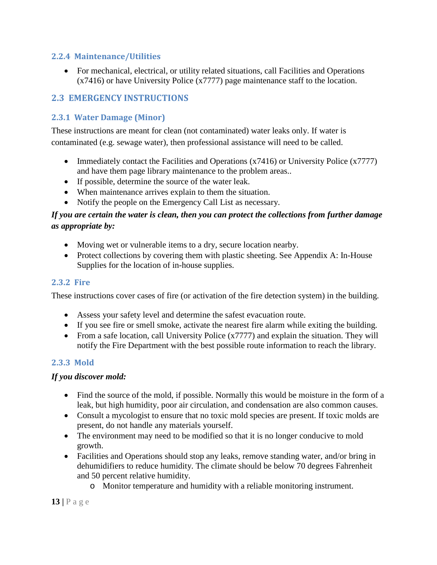#### **2.2.4 Maintenance/Utilities**

• For mechanical, electrical, or utility related situations, call Facilities and Operations (x7416) or have University Police (x7777) page maintenance staff to the location.

## **2.3 EMERGENCY INSTRUCTIONS**

## **2.3.1 Water Damage (Minor)**

These instructions are meant for clean (not contaminated) water leaks only. If water is contaminated (e.g. sewage water), then professional assistance will need to be called.

- Immediately contact the Facilities and Operations (x7416) or University Police (x7777) and have them page library maintenance to the problem areas..
- If possible, determine the source of the water leak.
- When maintenance arrives explain to them the situation.
- Notify the people on the Emergency Call List as necessary.

### *If you are certain the water is clean, then you can protect the collections from further damage as appropriate by:*

- Moving wet or vulnerable items to a dry, secure location nearby.
- Protect collections by covering them with plastic sheeting. See Appendix A: In-House Supplies for the location of in-house supplies.

#### **2.3.2 Fire**

These instructions cover cases of fire (or activation of the fire detection system) in the building.

- Assess your safety level and determine the safest evacuation route.
- If you see fire or smell smoke, activate the nearest fire alarm while exiting the building.
- From a safe location, call University Police (x7777) and explain the situation. They will notify the Fire Department with the best possible route information to reach the library.

#### **2.3.3 Mold**

#### *If you discover mold:*

- Find the source of the mold, if possible. Normally this would be moisture in the form of a leak, but high humidity, poor air circulation, and condensation are also common causes.
- Consult a mycologist to ensure that no toxic mold species are present. If toxic molds are present, do not handle any materials yourself.
- The environment may need to be modified so that it is no longer conducive to mold growth.
- Facilities and Operations should stop any leaks, remove standing water, and/or bring in dehumidifiers to reduce humidity. The climate should be below 70 degrees Fahrenheit and 50 percent relative humidity.
	- o Monitor temperature and humidity with a reliable monitoring instrument.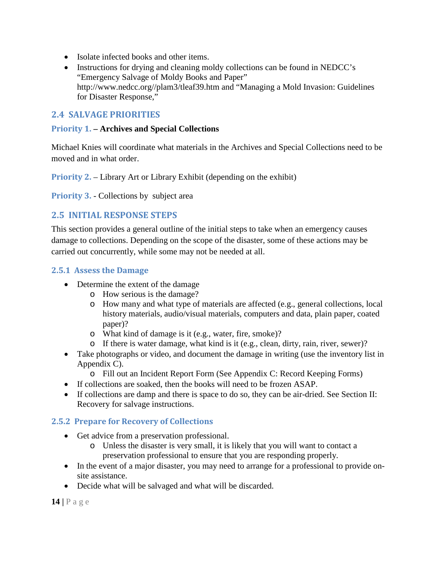- Isolate infected books and other items.
- Instructions for drying and cleaning moldy collections can be found in NEDCC's "Emergency Salvage of Moldy Books and Paper" [http://www.nedcc.org//plam3/tleaf39.htm](http://www.nedcc.org/plam3/tleaf39.htm) and "Managing a Mold Invasion: Guidelines for Disaster Response,"

### **2.4 SALVAGE PRIORITIES**

#### **Priority 1. – Archives and Special Collections**

Michael Knies will coordinate what materials in the Archives and Special Collections need to be moved and in what order.

**Priority 2.** – Library Art or Library Exhibit (depending on the exhibit)

**Priority 3. - Collections by subject area** 

## **2.5 INITIAL RESPONSE STEPS**

This section provides a general outline of the initial steps to take when an emergency causes damage to collections. Depending on the scope of the disaster, some of these actions may be carried out concurrently, while some may not be needed at all.

#### **2.5.1 Assess the Damage**

- Determine the extent of the damage
	- o How serious is the damage?
	- o How many and what type of materials are affected (e.g., general collections, local history materials, audio/visual materials, computers and data, plain paper, coated paper)?
	- o What kind of damage is it (e.g., water, fire, smoke)?
	- o If there is water damage, what kind is it (e.g., clean, dirty, rain, river, sewer)?
- Take photographs or video, and document the damage in writing (use the inventory list in Appendix C).
	- o Fill out an Incident Report Form (See Appendix C: Record Keeping Forms)
- If collections are soaked, then the books will need to be frozen ASAP.
- If collections are damp and there is space to do so, they can be air-dried. See Section II: Recovery for salvage instructions.

#### **2.5.2 Prepare for Recovery of Collections**

- Get advice from a preservation professional.
	- o Unless the disaster is very small, it is likely that you will want to contact a preservation professional to ensure that you are responding properly.
- In the event of a major disaster, you may need to arrange for a professional to provide onsite assistance.
- Decide what will be salvaged and what will be discarded.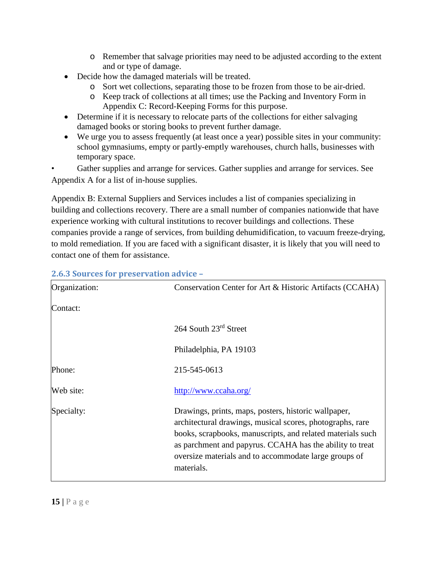- o Remember that salvage priorities may need to be adjusted according to the extent and or type of damage.
- Decide how the damaged materials will be treated.
	- o Sort wet collections, separating those to be frozen from those to be air-dried.
	- o Keep track of collections at all times; use the Packing and Inventory Form in Appendix C: Record-Keeping Forms for this purpose.
- Determine if it is necessary to relocate parts of the collections for either salvaging damaged books or storing books to prevent further damage.
- We urge you to assess frequently (at least once a year) possible sites in your community: school gymnasiums, empty or partly-emptly warehouses, church halls, businesses with temporary space.

Gather supplies and arrange for services. Gather supplies and arrange for services. See Appendix A for a list of in-house supplies.

Appendix B: External Suppliers and Services includes a list of companies specializing in building and collections recovery. There are a small number of companies nationwide that have experience working with cultural institutions to recover buildings and collections. These companies provide a range of services, from building dehumidification, to vacuum freeze-drying, to mold remediation. If you are faced with a significant disaster, it is likely that you will need to contact one of them for assistance.

| Organization: | Conservation Center for Art & Historic Artifacts (CCAHA)                                                                                                                                                                                                                                                           |
|---------------|--------------------------------------------------------------------------------------------------------------------------------------------------------------------------------------------------------------------------------------------------------------------------------------------------------------------|
| Contact:      |                                                                                                                                                                                                                                                                                                                    |
|               | 264 South 23rd Street                                                                                                                                                                                                                                                                                              |
|               | Philadelphia, PA 19103                                                                                                                                                                                                                                                                                             |
| Phone:        | 215-545-0613                                                                                                                                                                                                                                                                                                       |
| Web site:     | http://www.ccaha.org/                                                                                                                                                                                                                                                                                              |
| Specialty:    | Drawings, prints, maps, posters, historic wallpaper,<br>architectural drawings, musical scores, photographs, rare<br>books, scrapbooks, manuscripts, and related materials such<br>as parchment and papyrus. CCAHA has the ability to treat<br>oversize materials and to accommodate large groups of<br>materials. |

#### **2.6.3 Sources for preservation advice –**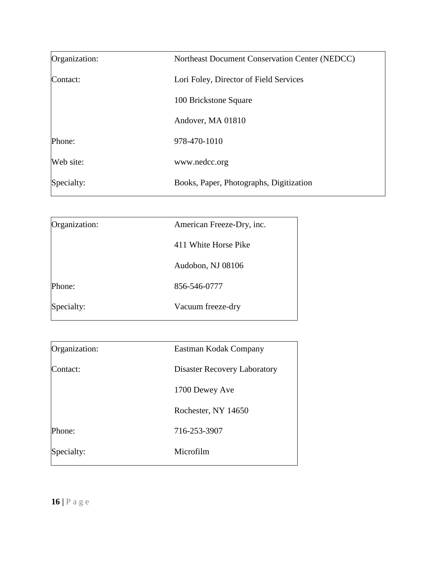| Organization: | Northeast Document Conservation Center (NEDCC) |
|---------------|------------------------------------------------|
| Contact:      | Lori Foley, Director of Field Services         |
|               | 100 Brickstone Square                          |
|               | Andover, MA 01810                              |
| Phone:        | 978-470-1010                                   |
| Web site:     | www.nedcc.org                                  |
| Specialty:    | Books, Paper, Photographs, Digitization        |

| Organization: | American Freeze-Dry, inc. |
|---------------|---------------------------|
|               | 411 White Horse Pike      |
|               | Audobon, NJ 08106         |
| Phone:        | 856-546-0777              |
| Specialty:    | Vacuum freeze-dry         |

| Organization: | Eastman Kodak Company               |
|---------------|-------------------------------------|
| Contact:      | <b>Disaster Recovery Laboratory</b> |
|               | 1700 Dewey Ave                      |
|               | Rochester, NY 14650                 |
| Phone:        | 716-253-3907                        |
| Specialty:    | Microfilm                           |
|               |                                     |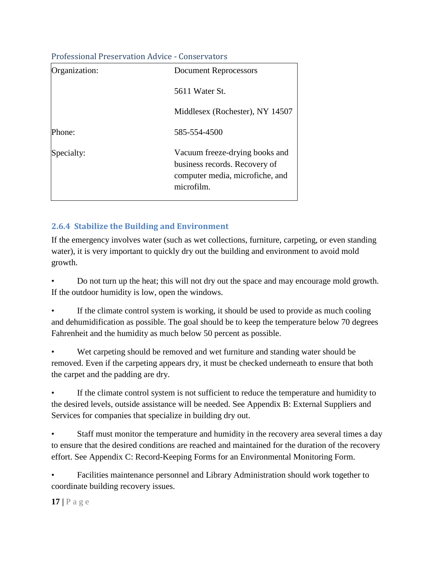#### Professional Preservation Advice - Conservators

| Organization: | <b>Document Reprocessors</b>                                                                                     |
|---------------|------------------------------------------------------------------------------------------------------------------|
|               | 5611 Water St.                                                                                                   |
|               | Middlesex (Rochester), NY 14507                                                                                  |
| Phone:        | 585-554-4500                                                                                                     |
| Specialty:    | Vacuum freeze-drying books and<br>business records. Recovery of<br>computer media, microfiche, and<br>microfilm. |

#### **2.6.4 Stabilize the Building and Environment**

If the emergency involves water (such as wet collections, furniture, carpeting, or even standing water), it is very important to quickly dry out the building and environment to avoid mold growth.

• Do not turn up the heat; this will not dry out the space and may encourage mold growth. If the outdoor humidity is low, open the windows.

If the climate control system is working, it should be used to provide as much cooling and dehumidification as possible. The goal should be to keep the temperature below 70 degrees Fahrenheit and the humidity as much below 50 percent as possible.

• Wet carpeting should be removed and wet furniture and standing water should be removed. Even if the carpeting appears dry, it must be checked underneath to ensure that both the carpet and the padding are dry.

If the climate control system is not sufficient to reduce the temperature and humidity to the desired levels, outside assistance will be needed. See Appendix B: External Suppliers and Services for companies that specialize in building dry out.

• Staff must monitor the temperature and humidity in the recovery area several times a day to ensure that the desired conditions are reached and maintained for the duration of the recovery effort. See Appendix C: Record-Keeping Forms for an Environmental Monitoring Form.

• Facilities maintenance personnel and Library Administration should work together to coordinate building recovery issues.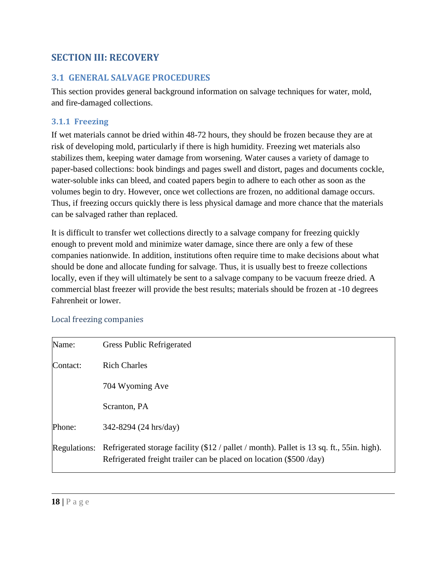## **SECTION III: RECOVERY**

## **3.1 GENERAL SALVAGE PROCEDURES**

This section provides general background information on salvage techniques for water, mold, and fire-damaged collections.

#### **3.1.1 Freezing**

If wet materials cannot be dried within 48-72 hours, they should be frozen because they are at risk of developing mold, particularly if there is high humidity. Freezing wet materials also stabilizes them, keeping water damage from worsening. Water causes a variety of damage to paper-based collections: book bindings and pages swell and distort, pages and documents cockle, water-soluble inks can bleed, and coated papers begin to adhere to each other as soon as the volumes begin to dry. However, once wet collections are frozen, no additional damage occurs. Thus, if freezing occurs quickly there is less physical damage and more chance that the materials can be salvaged rather than replaced.

It is difficult to transfer wet collections directly to a salvage company for freezing quickly enough to prevent mold and minimize water damage, since there are only a few of these companies nationwide. In addition, institutions often require time to make decisions about what should be done and allocate funding for salvage. Thus, it is usually best to freeze collections locally, even if they will ultimately be sent to a salvage company to be vacuum freeze dried. A commercial blast freezer will provide the best results; materials should be frozen at -10 degrees Fahrenheit or lower.

#### Local freezing companies

| Name:               | <b>Gress Public Refrigerated</b>                                                                                                                                 |
|---------------------|------------------------------------------------------------------------------------------------------------------------------------------------------------------|
| Contact:            | <b>Rich Charles</b>                                                                                                                                              |
|                     | 704 Wyoming Ave                                                                                                                                                  |
|                     | Scranton, PA                                                                                                                                                     |
| Phone:              | 342-8294 (24 hrs/day)                                                                                                                                            |
| <b>Regulations:</b> | Refrigerated storage facility (\$12 / pallet / month). Pallet is 13 sq. ft., 55in. high).<br>Refrigerated freight trailer can be placed on location (\$500 /day) |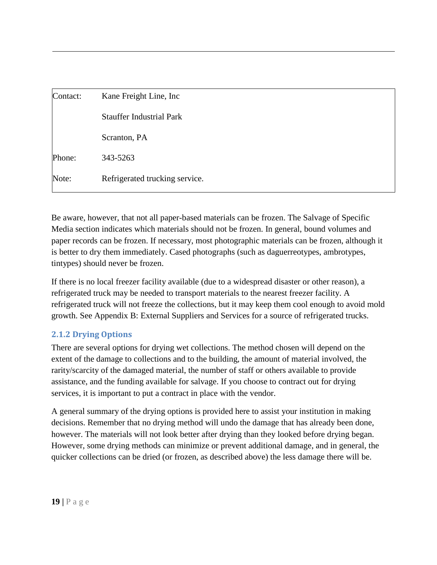| Contact: | Kane Freight Line, Inc.         |
|----------|---------------------------------|
|          | <b>Stauffer Industrial Park</b> |
|          | Scranton, PA                    |
| Phone:   | 343-5263                        |
| Note:    | Refrigerated trucking service.  |

Be aware, however, that not all paper-based materials can be frozen. The Salvage of Specific Media section indicates which materials should not be frozen. In general, bound volumes and paper records can be frozen. If necessary, most photographic materials can be frozen, although it is better to dry them immediately. Cased photographs (such as daguerreotypes, ambrotypes, tintypes) should never be frozen.

If there is no local freezer facility available (due to a widespread disaster or other reason), a refrigerated truck may be needed to transport materials to the nearest freezer facility. A refrigerated truck will not freeze the collections, but it may keep them cool enough to avoid mold growth. See Appendix B: External Suppliers and Services for a source of refrigerated trucks.

#### **2.1.2 Drying Options**

There are several options for drying wet collections. The method chosen will depend on the extent of the damage to collections and to the building, the amount of material involved, the rarity/scarcity of the damaged material, the number of staff or others available to provide assistance, and the funding available for salvage. If you choose to contract out for drying services, it is important to put a contract in place with the vendor.

A general summary of the drying options is provided here to assist your institution in making decisions. Remember that no drying method will undo the damage that has already been done, however. The materials will not look better after drying than they looked before drying began. However, some drying methods can minimize or prevent additional damage, and in general, the quicker collections can be dried (or frozen, as described above) the less damage there will be.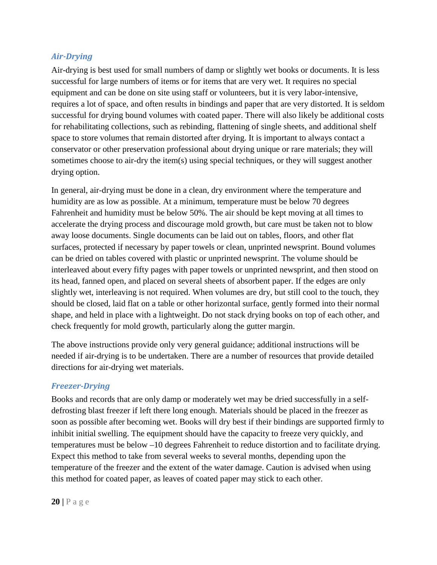#### *Air-Drying*

Air-drying is best used for small numbers of damp or slightly wet books or documents. It is less successful for large numbers of items or for items that are very wet. It requires no special equipment and can be done on site using staff or volunteers, but it is very labor-intensive, requires a lot of space, and often results in bindings and paper that are very distorted. It is seldom successful for drying bound volumes with coated paper. There will also likely be additional costs for rehabilitating collections, such as rebinding, flattening of single sheets, and additional shelf space to store volumes that remain distorted after drying. It is important to always contact a conservator or other preservation professional about drying unique or rare materials; they will sometimes choose to air-dry the item(s) using special techniques, or they will suggest another drying option.

In general, air-drying must be done in a clean, dry environment where the temperature and humidity are as low as possible. At a minimum, temperature must be below 70 degrees Fahrenheit and humidity must be below 50%. The air should be kept moving at all times to accelerate the drying process and discourage mold growth, but care must be taken not to blow away loose documents. Single documents can be laid out on tables, floors, and other flat surfaces, protected if necessary by paper towels or clean, unprinted newsprint. Bound volumes can be dried on tables covered with plastic or unprinted newsprint. The volume should be interleaved about every fifty pages with paper towels or unprinted newsprint, and then stood on its head, fanned open, and placed on several sheets of absorbent paper. If the edges are only slightly wet, interleaving is not required. When volumes are dry, but still cool to the touch, they should be closed, laid flat on a table or other horizontal surface, gently formed into their normal shape, and held in place with a lightweight. Do not stack drying books on top of each other, and check frequently for mold growth, particularly along the gutter margin.

The above instructions provide only very general guidance; additional instructions will be needed if air-drying is to be undertaken. There are a number of resources that provide detailed directions for air-drying wet materials.

#### *Freezer-Drying*

Books and records that are only damp or moderately wet may be dried successfully in a selfdefrosting blast freezer if left there long enough. Materials should be placed in the freezer as soon as possible after becoming wet. Books will dry best if their bindings are supported firmly to inhibit initial swelling. The equipment should have the capacity to freeze very quickly, and temperatures must be below –10 degrees Fahrenheit to reduce distortion and to facilitate drying. Expect this method to take from several weeks to several months, depending upon the temperature of the freezer and the extent of the water damage. Caution is advised when using this method for coated paper, as leaves of coated paper may stick to each other.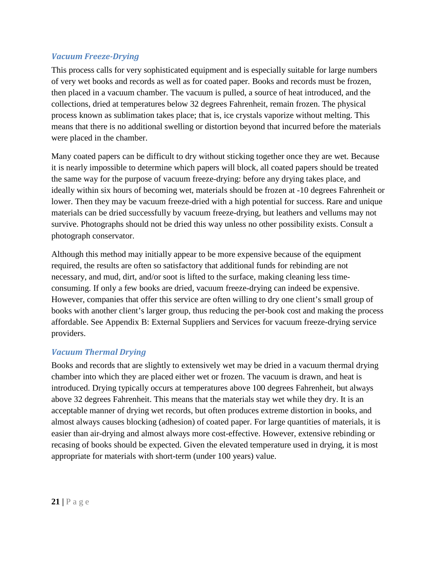#### *Vacuum Freeze-Drying*

This process calls for very sophisticated equipment and is especially suitable for large numbers of very wet books and records as well as for coated paper. Books and records must be frozen, then placed in a vacuum chamber. The vacuum is pulled, a source of heat introduced, and the collections, dried at temperatures below 32 degrees Fahrenheit, remain frozen. The physical process known as sublimation takes place; that is, ice crystals vaporize without melting. This means that there is no additional swelling or distortion beyond that incurred before the materials were placed in the chamber.

Many coated papers can be difficult to dry without sticking together once they are wet. Because it is nearly impossible to determine which papers will block, all coated papers should be treated the same way for the purpose of vacuum freeze-drying: before any drying takes place, and ideally within six hours of becoming wet, materials should be frozen at -10 degrees Fahrenheit or lower. Then they may be vacuum freeze-dried with a high potential for success. Rare and unique materials can be dried successfully by vacuum freeze-drying, but leathers and vellums may not survive. Photographs should not be dried this way unless no other possibility exists. Consult a photograph conservator.

Although this method may initially appear to be more expensive because of the equipment required, the results are often so satisfactory that additional funds for rebinding are not necessary, and mud, dirt, and/or soot is lifted to the surface, making cleaning less timeconsuming. If only a few books are dried, vacuum freeze-drying can indeed be expensive. However, companies that offer this service are often willing to dry one client's small group of books with another client's larger group, thus reducing the per-book cost and making the process affordable. See Appendix B: External Suppliers and Services for vacuum freeze-drying service providers.

#### *Vacuum Thermal Drying*

Books and records that are slightly to extensively wet may be dried in a vacuum thermal drying chamber into which they are placed either wet or frozen. The vacuum is drawn, and heat is introduced. Drying typically occurs at temperatures above 100 degrees Fahrenheit, but always above 32 degrees Fahrenheit. This means that the materials stay wet while they dry. It is an acceptable manner of drying wet records, but often produces extreme distortion in books, and almost always causes blocking (adhesion) of coated paper. For large quantities of materials, it is easier than air-drying and almost always more cost-effective. However, extensive rebinding or recasing of books should be expected. Given the elevated temperature used in drying, it is most appropriate for materials with short-term (under 100 years) value.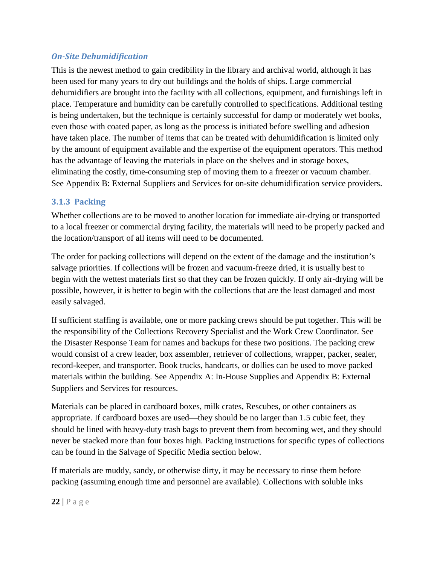#### *On-Site Dehumidification*

This is the newest method to gain credibility in the library and archival world, although it has been used for many years to dry out buildings and the holds of ships. Large commercial dehumidifiers are brought into the facility with all collections, equipment, and furnishings left in place. Temperature and humidity can be carefully controlled to specifications. Additional testing is being undertaken, but the technique is certainly successful for damp or moderately wet books, even those with coated paper, as long as the process is initiated before swelling and adhesion have taken place. The number of items that can be treated with dehumidification is limited only by the amount of equipment available and the expertise of the equipment operators. This method has the advantage of leaving the materials in place on the shelves and in storage boxes, eliminating the costly, time-consuming step of moving them to a freezer or vacuum chamber. See Appendix B: External Suppliers and Services for on-site dehumidification service providers.

#### **3.1.3 Packing**

Whether collections are to be moved to another location for immediate air-drying or transported to a local freezer or commercial drying facility, the materials will need to be properly packed and the location/transport of all items will need to be documented.

The order for packing collections will depend on the extent of the damage and the institution's salvage priorities. If collections will be frozen and vacuum-freeze dried, it is usually best to begin with the wettest materials first so that they can be frozen quickly. If only air-drying will be possible, however, it is better to begin with the collections that are the least damaged and most easily salvaged.

If sufficient staffing is available, one or more packing crews should be put together. This will be the responsibility of the Collections Recovery Specialist and the Work Crew Coordinator. See the Disaster Response Team for names and backups for these two positions. The packing crew would consist of a crew leader, box assembler, retriever of collections, wrapper, packer, sealer, record-keeper, and transporter. Book trucks, handcarts, or dollies can be used to move packed materials within the building. See Appendix A: In-House Supplies and Appendix B: External Suppliers and Services for resources.

Materials can be placed in cardboard boxes, milk crates, Rescubes, or other containers as appropriate. If cardboard boxes are used—they should be no larger than 1.5 cubic feet, they should be lined with heavy-duty trash bags to prevent them from becoming wet, and they should never be stacked more than four boxes high. Packing instructions for specific types of collections can be found in the Salvage of Specific Media section below.

If materials are muddy, sandy, or otherwise dirty, it may be necessary to rinse them before packing (assuming enough time and personnel are available). Collections with soluble inks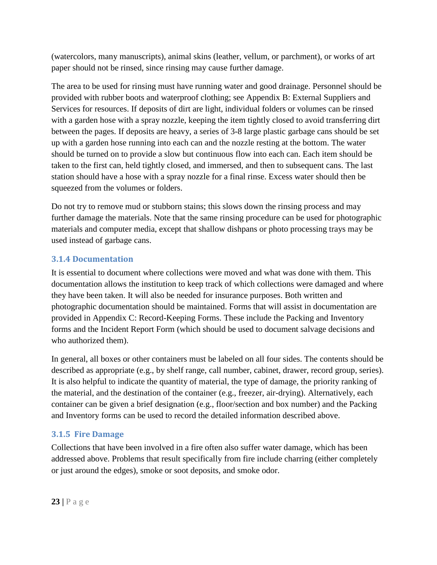(watercolors, many manuscripts), animal skins (leather, vellum, or parchment), or works of art paper should not be rinsed, since rinsing may cause further damage.

The area to be used for rinsing must have running water and good drainage. Personnel should be provided with rubber boots and waterproof clothing; see Appendix B: External Suppliers and Services for resources. If deposits of dirt are light, individual folders or volumes can be rinsed with a garden hose with a spray nozzle, keeping the item tightly closed to avoid transferring dirt between the pages. If deposits are heavy, a series of 3-8 large plastic garbage cans should be set up with a garden hose running into each can and the nozzle resting at the bottom. The water should be turned on to provide a slow but continuous flow into each can. Each item should be taken to the first can, held tightly closed, and immersed, and then to subsequent cans. The last station should have a hose with a spray nozzle for a final rinse. Excess water should then be squeezed from the volumes or folders.

Do not try to remove mud or stubborn stains; this slows down the rinsing process and may further damage the materials. Note that the same rinsing procedure can be used for photographic materials and computer media, except that shallow dishpans or photo processing trays may be used instead of garbage cans.

#### **3.1.4 Documentation**

It is essential to document where collections were moved and what was done with them. This documentation allows the institution to keep track of which collections were damaged and where they have been taken. It will also be needed for insurance purposes. Both written and photographic documentation should be maintained. Forms that will assist in documentation are provided in Appendix C: Record-Keeping Forms. These include the Packing and Inventory forms and the Incident Report Form (which should be used to document salvage decisions and who authorized them).

In general, all boxes or other containers must be labeled on all four sides. The contents should be described as appropriate (e.g., by shelf range, call number, cabinet, drawer, record group, series). It is also helpful to indicate the quantity of material, the type of damage, the priority ranking of the material, and the destination of the container (e.g., freezer, air-drying). Alternatively, each container can be given a brief designation (e.g., floor/section and box number) and the Packing and Inventory forms can be used to record the detailed information described above.

#### **3.1.5 Fire Damage**

Collections that have been involved in a fire often also suffer water damage, which has been addressed above. Problems that result specifically from fire include charring (either completely or just around the edges), smoke or soot deposits, and smoke odor.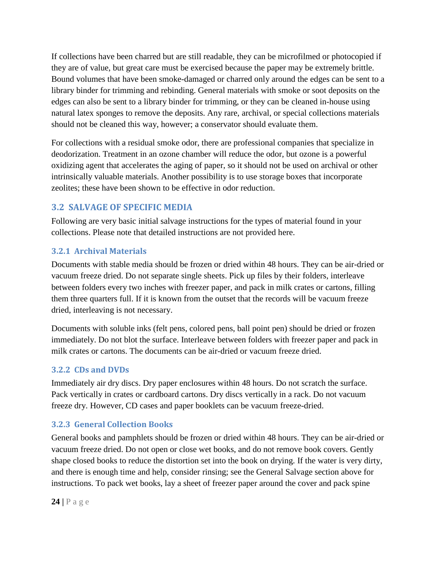If collections have been charred but are still readable, they can be microfilmed or photocopied if they are of value, but great care must be exercised because the paper may be extremely brittle. Bound volumes that have been smoke-damaged or charred only around the edges can be sent to a library binder for trimming and rebinding. General materials with smoke or soot deposits on the edges can also be sent to a library binder for trimming, or they can be cleaned in-house using natural latex sponges to remove the deposits. Any rare, archival, or special collections materials should not be cleaned this way, however; a conservator should evaluate them.

For collections with a residual smoke odor, there are professional companies that specialize in deodorization. Treatment in an ozone chamber will reduce the odor, but ozone is a powerful oxidizing agent that accelerates the aging of paper, so it should not be used on archival or other intrinsically valuable materials. Another possibility is to use storage boxes that incorporate zeolites; these have been shown to be effective in odor reduction.

## **3.2 SALVAGE OF SPECIFIC MEDIA**

Following are very basic initial salvage instructions for the types of material found in your collections. Please note that detailed instructions are not provided here.

## **3.2.1 Archival Materials**

Documents with stable media should be frozen or dried within 48 hours. They can be air-dried or vacuum freeze dried. Do not separate single sheets. Pick up files by their folders, interleave between folders every two inches with freezer paper, and pack in milk crates or cartons, filling them three quarters full. If it is known from the outset that the records will be vacuum freeze dried, interleaving is not necessary.

Documents with soluble inks (felt pens, colored pens, ball point pen) should be dried or frozen immediately. Do not blot the surface. Interleave between folders with freezer paper and pack in milk crates or cartons. The documents can be air-dried or vacuum freeze dried.

## **3.2.2 CDs and DVDs**

Immediately air dry discs. Dry paper enclosures within 48 hours. Do not scratch the surface. Pack vertically in crates or cardboard cartons. Dry discs vertically in a rack. Do not vacuum freeze dry. However, CD cases and paper booklets can be vacuum freeze-dried.

## **3.2.3 General Collection Books**

General books and pamphlets should be frozen or dried within 48 hours. They can be air-dried or vacuum freeze dried. Do not open or close wet books, and do not remove book covers. Gently shape closed books to reduce the distortion set into the book on drying. If the water is very dirty, and there is enough time and help, consider rinsing; see the General Salvage section above for instructions. To pack wet books, lay a sheet of freezer paper around the cover and pack spine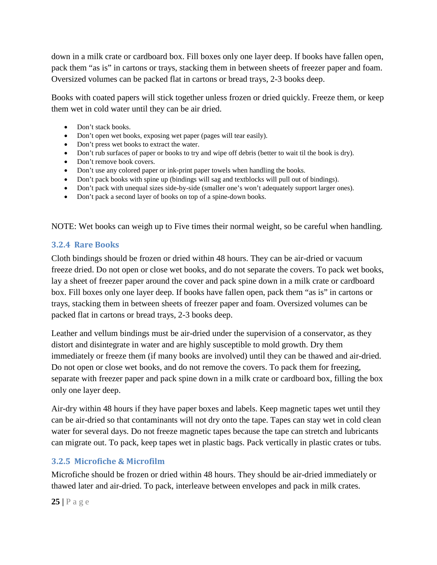down in a milk crate or cardboard box. Fill boxes only one layer deep. If books have fallen open, pack them "as is" in cartons or trays, stacking them in between sheets of freezer paper and foam. Oversized volumes can be packed flat in cartons or bread trays, 2-3 books deep.

Books with coated papers will stick together unless frozen or dried quickly. Freeze them, or keep them wet in cold water until they can be air dried.

- Don't stack books.
- Don't open wet books, exposing wet paper (pages will tear easily).
- Don't press wet books to extract the water.
- Don't rub surfaces of paper or books to try and wipe off debris (better to wait til the book is dry).
- Don't remove book covers.
- Don't use any colored paper or ink-print paper towels when handling the books.
- Don't pack books with spine up (bindings will sag and textblocks will pull out of bindings).
- Don't pack with unequal sizes side-by-side (smaller one's won't adequately support larger ones).
- Don't pack a second layer of books on top of a spine-down books.

NOTE: Wet books can weigh up to Five times their normal weight, so be careful when handling.

#### **3.2.4 Rare Books**

Cloth bindings should be frozen or dried within 48 hours. They can be air-dried or vacuum freeze dried. Do not open or close wet books, and do not separate the covers. To pack wet books, lay a sheet of freezer paper around the cover and pack spine down in a milk crate or cardboard box. Fill boxes only one layer deep. If books have fallen open, pack them "as is" in cartons or trays, stacking them in between sheets of freezer paper and foam. Oversized volumes can be packed flat in cartons or bread trays, 2-3 books deep.

Leather and vellum bindings must be air-dried under the supervision of a conservator, as they distort and disintegrate in water and are highly susceptible to mold growth. Dry them immediately or freeze them (if many books are involved) until they can be thawed and air-dried. Do not open or close wet books, and do not remove the covers. To pack them for freezing, separate with freezer paper and pack spine down in a milk crate or cardboard box, filling the box only one layer deep.

Air-dry within 48 hours if they have paper boxes and labels. Keep magnetic tapes wet until they can be air-dried so that contaminants will not dry onto the tape. Tapes can stay wet in cold clean water for several days. Do not freeze magnetic tapes because the tape can stretch and lubricants can migrate out. To pack, keep tapes wet in plastic bags. Pack vertically in plastic crates or tubs.

#### **3.2.5 Microfiche & Microfilm**

Microfiche should be frozen or dried within 48 hours. They should be air-dried immediately or thawed later and air-dried. To pack, interleave between envelopes and pack in milk crates.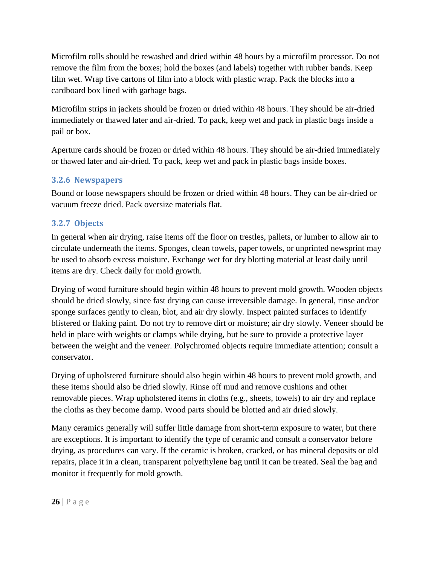Microfilm rolls should be rewashed and dried within 48 hours by a microfilm processor. Do not remove the film from the boxes; hold the boxes (and labels) together with rubber bands. Keep film wet. Wrap five cartons of film into a block with plastic wrap. Pack the blocks into a cardboard box lined with garbage bags.

Microfilm strips in jackets should be frozen or dried within 48 hours. They should be air-dried immediately or thawed later and air-dried. To pack, keep wet and pack in plastic bags inside a pail or box.

Aperture cards should be frozen or dried within 48 hours. They should be air-dried immediately or thawed later and air-dried. To pack, keep wet and pack in plastic bags inside boxes.

#### **3.2.6 Newspapers**

Bound or loose newspapers should be frozen or dried within 48 hours. They can be air-dried or vacuum freeze dried. Pack oversize materials flat.

#### **3.2.7 Objects**

In general when air drying, raise items off the floor on trestles, pallets, or lumber to allow air to circulate underneath the items. Sponges, clean towels, paper towels, or unprinted newsprint may be used to absorb excess moisture. Exchange wet for dry blotting material at least daily until items are dry. Check daily for mold growth.

Drying of wood furniture should begin within 48 hours to prevent mold growth. Wooden objects should be dried slowly, since fast drying can cause irreversible damage. In general, rinse and/or sponge surfaces gently to clean, blot, and air dry slowly. Inspect painted surfaces to identify blistered or flaking paint. Do not try to remove dirt or moisture; air dry slowly. Veneer should be held in place with weights or clamps while drying, but be sure to provide a protective layer between the weight and the veneer. Polychromed objects require immediate attention; consult a conservator.

Drying of upholstered furniture should also begin within 48 hours to prevent mold growth, and these items should also be dried slowly. Rinse off mud and remove cushions and other removable pieces. Wrap upholstered items in cloths (e.g., sheets, towels) to air dry and replace the cloths as they become damp. Wood parts should be blotted and air dried slowly.

Many ceramics generally will suffer little damage from short-term exposure to water, but there are exceptions. It is important to identify the type of ceramic and consult a conservator before drying, as procedures can vary. If the ceramic is broken, cracked, or has mineral deposits or old repairs, place it in a clean, transparent polyethylene bag until it can be treated. Seal the bag and monitor it frequently for mold growth.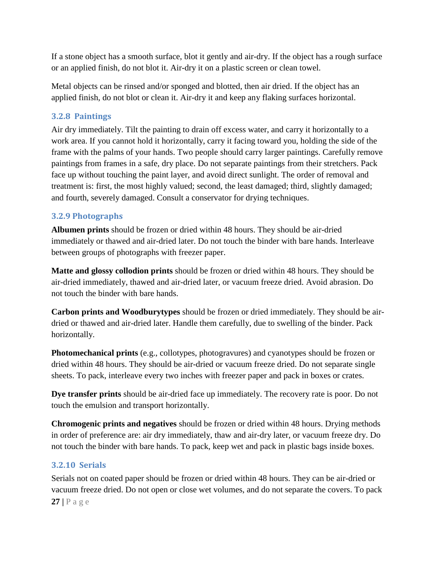If a stone object has a smooth surface, blot it gently and air-dry. If the object has a rough surface or an applied finish, do not blot it. Air-dry it on a plastic screen or clean towel.

Metal objects can be rinsed and/or sponged and blotted, then air dried. If the object has an applied finish, do not blot or clean it. Air-dry it and keep any flaking surfaces horizontal.

#### **3.2.8 Paintings**

Air dry immediately. Tilt the painting to drain off excess water, and carry it horizontally to a work area. If you cannot hold it horizontally, carry it facing toward you, holding the side of the frame with the palms of your hands. Two people should carry larger paintings. Carefully remove paintings from frames in a safe, dry place. Do not separate paintings from their stretchers. Pack face up without touching the paint layer, and avoid direct sunlight. The order of removal and treatment is: first, the most highly valued; second, the least damaged; third, slightly damaged; and fourth, severely damaged. Consult a conservator for drying techniques.

#### **3.2.9 Photographs**

**Albumen prints** should be frozen or dried within 48 hours. They should be air-dried immediately or thawed and air-dried later. Do not touch the binder with bare hands. Interleave between groups of photographs with freezer paper.

**Matte and glossy collodion prints** should be frozen or dried within 48 hours. They should be air-dried immediately, thawed and air-dried later, or vacuum freeze dried. Avoid abrasion. Do not touch the binder with bare hands.

**Carbon prints and Woodburytypes** should be frozen or dried immediately. They should be airdried or thawed and air-dried later. Handle them carefully, due to swelling of the binder. Pack horizontally.

**Photomechanical prints** (e.g., collotypes, photogravures) and cyanotypes should be frozen or dried within 48 hours. They should be air-dried or vacuum freeze dried. Do not separate single sheets. To pack, interleave every two inches with freezer paper and pack in boxes or crates.

**Dye transfer prints** should be air-dried face up immediately. The recovery rate is poor. Do not touch the emulsion and transport horizontally.

**Chromogenic prints and negatives** should be frozen or dried within 48 hours. Drying methods in order of preference are: air dry immediately, thaw and air-dry later, or vacuum freeze dry. Do not touch the binder with bare hands. To pack, keep wet and pack in plastic bags inside boxes.

#### **3.2.10 Serials**

**27 |** Page Serials not on coated paper should be frozen or dried within 48 hours. They can be air-dried or vacuum freeze dried. Do not open or close wet volumes, and do not separate the covers. To pack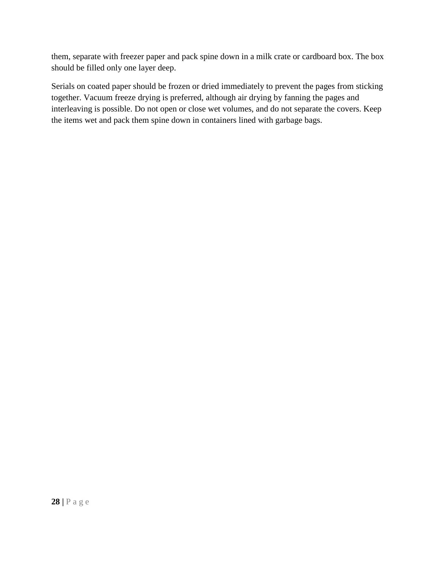them, separate with freezer paper and pack spine down in a milk crate or cardboard box. The box should be filled only one layer deep.

Serials on coated paper should be frozen or dried immediately to prevent the pages from sticking together. Vacuum freeze drying is preferred, although air drying by fanning the pages and interleaving is possible. Do not open or close wet volumes, and do not separate the covers. Keep the items wet and pack them spine down in containers lined with garbage bags.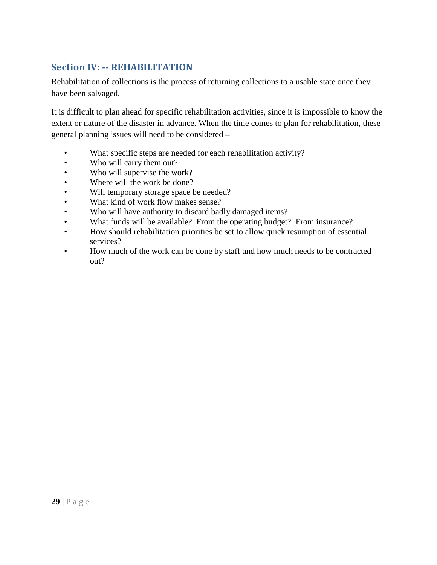## **Section IV: -- REHABILITATION**

Rehabilitation of collections is the process of returning collections to a usable state once they have been salvaged.

It is difficult to plan ahead for specific rehabilitation activities, since it is impossible to know the extent or nature of the disaster in advance. When the time comes to plan for rehabilitation, these general planning issues will need to be considered –

- What specific steps are needed for each rehabilitation activity?
- Who will carry them out?
- Who will supervise the work?
- Where will the work be done?
- Will temporary storage space be needed?
- What kind of work flow makes sense?
- Who will have authority to discard badly damaged items?
- What funds will be available? From the operating budget? From insurance?
- How should rehabilitation priorities be set to allow quick resumption of essential services?
- How much of the work can be done by staff and how much needs to be contracted out?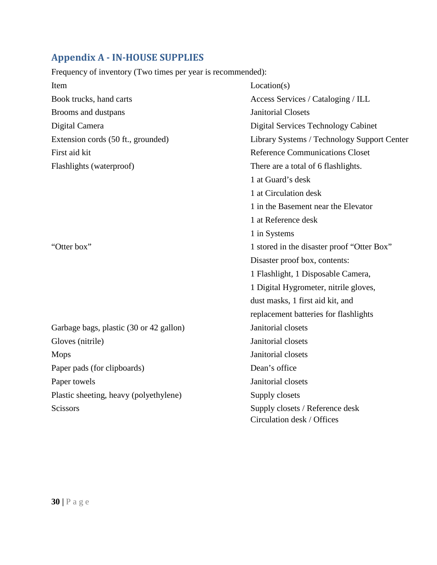## **Appendix A - IN-HOUSE SUPPLIES**

Frequency of inventory (Two times per year is recommended):

| Item                                    | Location(s)                                 |
|-----------------------------------------|---------------------------------------------|
| Book trucks, hand carts                 | Access Services / Cataloging / ILL          |
| Brooms and dustpans                     | <b>Janitorial Closets</b>                   |
| Digital Camera                          | Digital Services Technology Cabinet         |
| Extension cords (50 ft., grounded)      | Library Systems / Technology Support Center |
| First aid kit                           | <b>Reference Communications Closet</b>      |
| Flashlights (waterproof)                | There are a total of 6 flashlights.         |
|                                         | 1 at Guard's desk                           |
|                                         | 1 at Circulation desk                       |
|                                         | 1 in the Basement near the Elevator         |
|                                         | 1 at Reference desk                         |
|                                         | 1 in Systems                                |
| "Otter box"                             | 1 stored in the disaster proof "Otter Box"  |
|                                         | Disaster proof box, contents:               |
|                                         | 1 Flashlight, 1 Disposable Camera,          |
|                                         | 1 Digital Hygrometer, nitrile gloves,       |
|                                         | dust masks, 1 first aid kit, and            |
|                                         | replacement batteries for flashlights       |
| Garbage bags, plastic (30 or 42 gallon) | Janitorial closets                          |
| Gloves (nitrile)                        | Janitorial closets                          |
| <b>Mops</b>                             | Janitorial closets                          |
| Paper pads (for clipboards)             | Dean's office                               |
| Paper towels                            | Janitorial closets                          |
| Plastic sheeting, heavy (polyethylene)  | Supply closets                              |
| <b>Scissors</b>                         | Supply closets / Reference desk             |
|                                         | Circulation desk / Offices                  |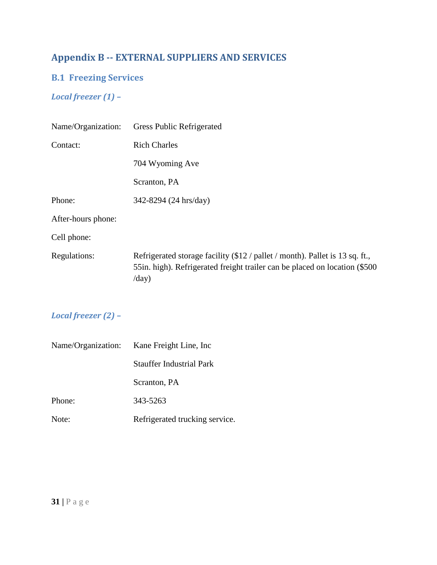## **Appendix B -- EXTERNAL SUPPLIERS AND SERVICES**

## **B.1 Freezing Services**

## *Local freezer (1) –*

| Name/Organization: | <b>Gress Public Refrigerated</b>                                                                                                                                                        |
|--------------------|-----------------------------------------------------------------------------------------------------------------------------------------------------------------------------------------|
| Contact:           | <b>Rich Charles</b>                                                                                                                                                                     |
|                    | 704 Wyoming Ave                                                                                                                                                                         |
|                    | Scranton, PA                                                                                                                                                                            |
| Phone:             | 342-8294 (24 hrs/day)                                                                                                                                                                   |
| After-hours phone: |                                                                                                                                                                                         |
| Cell phone:        |                                                                                                                                                                                         |
| Regulations:       | Refrigerated storage facility (\$12 / pallet / month). Pallet is 13 sq. ft.,<br>55 in. high). Refrigerated freight trailer can be placed on location (\$500)<br>$\langle$ day $\rangle$ |

## *Local freezer (2) –*

|        | Name/Organization: Kane Freight Line, Inc. |  |  |
|--------|--------------------------------------------|--|--|
|        | Stauffer Industrial Park                   |  |  |
|        | Scranton, PA                               |  |  |
| Phone: | 343-5263                                   |  |  |
| Note:  | Refrigerated trucking service.             |  |  |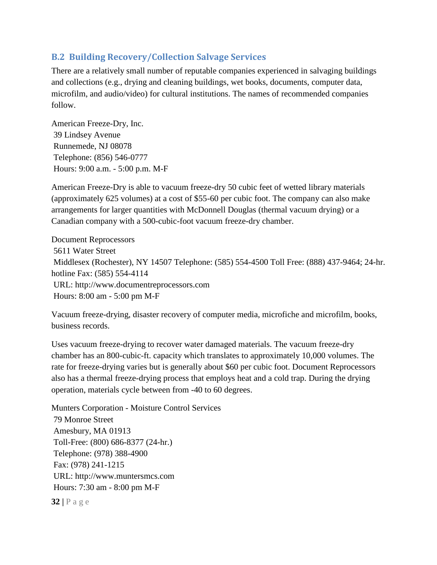#### **B.2 Building Recovery/Collection Salvage Services**

There are a relatively small number of reputable companies experienced in salvaging buildings and collections (e.g., drying and cleaning buildings, wet books, documents, computer data, microfilm, and audio/video) for cultural institutions. The names of recommended companies follow.

American Freeze-Dry, Inc. 39 Lindsey Avenue Runnemede, NJ 08078 Telephone: (856) 546-0777 Hours: 9:00 a.m. - 5:00 p.m. M-F

American Freeze-Dry is able to vacuum freeze-dry 50 cubic feet of wetted library materials (approximately 625 volumes) at a cost of \$55-60 per cubic foot. The company can also make arrangements for larger quantities with McDonnell Douglas (thermal vacuum drying) or a Canadian company with a 500-cubic-foot vacuum freeze-dry chamber.

Document Reprocessors 5611 Water Street Middlesex (Rochester), NY 14507 Telephone: (585) 554-4500 Toll Free: (888) 437-9464; 24-hr. hotline Fax: (585) 554-4114 URL: [http://www.documentreprocessors.com](http://www.documentreprocessors.com/) Hours: 8:00 am - 5:00 pm M-F

Vacuum freeze-drying, disaster recovery of computer media, microfiche and microfilm, books, business records.

Uses vacuum freeze-drying to recover water damaged materials. The vacuum freeze-dry chamber has an 800-cubic-ft. capacity which translates to approximately 10,000 volumes. The rate for freeze-drying varies but is generally about \$60 per cubic foot. Document Reprocessors also has a thermal freeze-drying process that employs heat and a cold trap. During the drying operation, materials cycle between from -40 to 60 degrees.

**32 |** Page Munters Corporation - Moisture Control Services 79 Monroe Street Amesbury, MA 01913 Toll-Free: (800) 686-8377 (24-hr.) Telephone: (978) 388-4900 Fax: (978) 241-1215 URL: [http://www.muntersmcs.com](http://www.muntersmcs.com/) Hours: 7:30 am - 8:00 pm M-F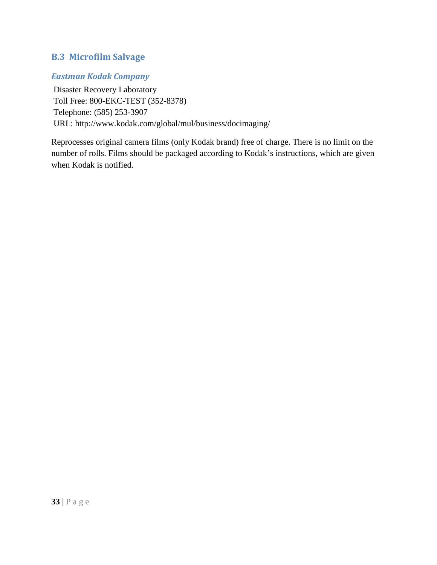### **B.3 Microfilm Salvage**

### *Eastman Kodak Company*

Disaster Recovery Laboratory Toll Free: 800-EKC-TEST (352-8378) Telephone: (585) 253-3907 URL:<http://www.kodak.com/global/mul/business/docimaging/>

Reprocesses original camera films (only Kodak brand) free of charge. There is no limit on the number of rolls. Films should be packaged according to Kodak's instructions, which are given when Kodak is notified.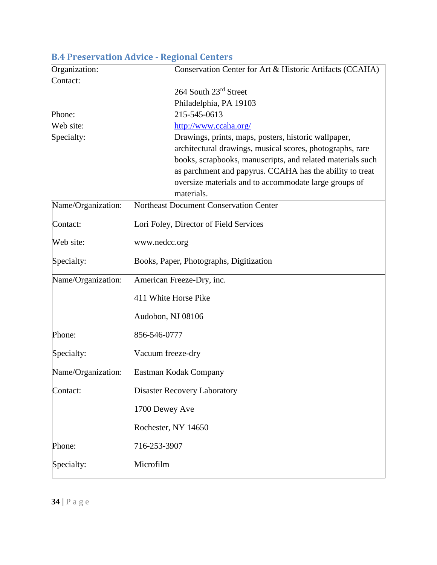| Organization:      | Conservation Center for Art & Historic Artifacts (CCAHA)   |  |  |  |  |
|--------------------|------------------------------------------------------------|--|--|--|--|
| Contact:           |                                                            |  |  |  |  |
|                    | 264 South 23rd Street                                      |  |  |  |  |
|                    | Philadelphia, PA 19103                                     |  |  |  |  |
| Phone:             | 215-545-0613                                               |  |  |  |  |
| Web site:          | http://www.ccaha.org/                                      |  |  |  |  |
| Specialty:         | Drawings, prints, maps, posters, historic wallpaper,       |  |  |  |  |
|                    | architectural drawings, musical scores, photographs, rare  |  |  |  |  |
|                    | books, scrapbooks, manuscripts, and related materials such |  |  |  |  |
|                    | as parchment and papyrus. CCAHA has the ability to treat   |  |  |  |  |
|                    | oversize materials and to accommodate large groups of      |  |  |  |  |
|                    | materials.                                                 |  |  |  |  |
| Name/Organization: | Northeast Document Conservation Center                     |  |  |  |  |
| Contact:           | Lori Foley, Director of Field Services                     |  |  |  |  |
| Web site:          | www.nedcc.org                                              |  |  |  |  |
| Specialty:         | Books, Paper, Photographs, Digitization                    |  |  |  |  |
| Name/Organization: | American Freeze-Dry, inc.                                  |  |  |  |  |
|                    | 411 White Horse Pike                                       |  |  |  |  |
|                    | Audobon, NJ 08106                                          |  |  |  |  |
| Phone:             | 856-546-0777                                               |  |  |  |  |
| Specialty:         | Vacuum freeze-dry                                          |  |  |  |  |
| Name/Organization: | Eastman Kodak Company                                      |  |  |  |  |
| Contact:           | <b>Disaster Recovery Laboratory</b>                        |  |  |  |  |
|                    | 1700 Dewey Ave                                             |  |  |  |  |
|                    | Rochester, NY 14650                                        |  |  |  |  |
| Phone:             | 716-253-3907                                               |  |  |  |  |
| Specialty:         | Microfilm                                                  |  |  |  |  |

## **B.4 Preservation Advice - Regional Centers**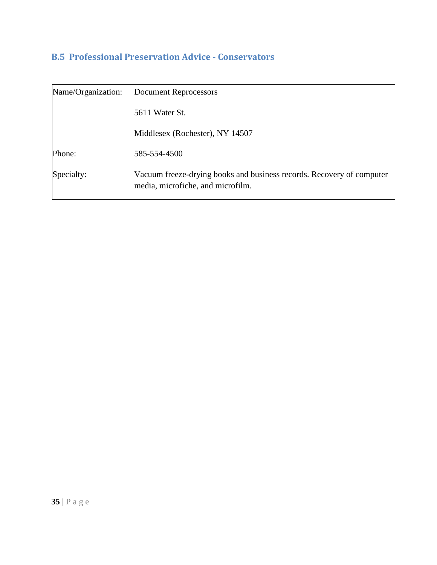## **B.5 Professional Preservation Advice - Conservators**

| Name/Organization: | <b>Document Reprocessors</b>                                                                               |  |  |
|--------------------|------------------------------------------------------------------------------------------------------------|--|--|
|                    | 5611 Water St.                                                                                             |  |  |
|                    | Middlesex (Rochester), NY 14507                                                                            |  |  |
| Phone:             | 585-554-4500                                                                                               |  |  |
| Specialty:         | Vacuum freeze-drying books and business records. Recovery of computer<br>media, microfiche, and microfilm. |  |  |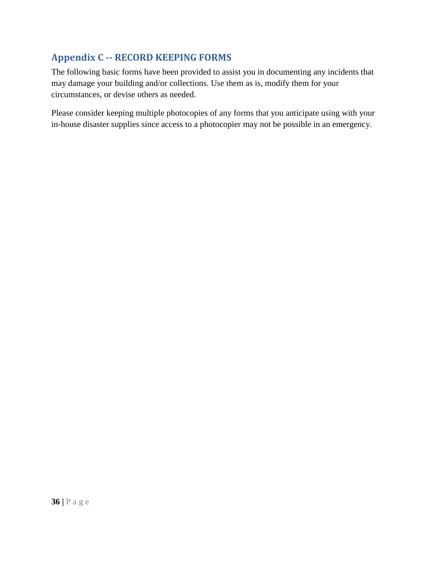## **Appendix C -- RECORD KEEPING FORMS**

The following basic forms have been provided to assist you in documenting any incidents that may damage your building and/or collections. Use them as is, modify them for your circumstances, or devise others as needed.

Please consider keeping multiple photocopies of any forms that you anticipate using with your in-house disaster supplies since access to a photocopier may not be possible in an emergency.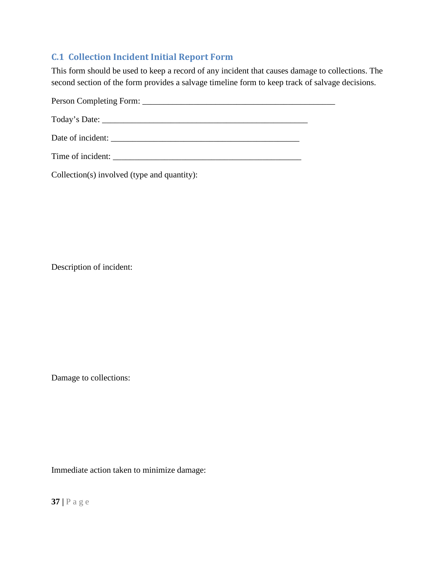## **C.1 Collection Incident Initial Report Form**

This form should be used to keep a record of any incident that causes damage to collections. The second section of the form provides a salvage timeline form to keep track of salvage decisions.

Person Completing Form: \_\_\_\_\_\_\_\_\_\_\_\_\_\_\_\_\_\_\_\_\_\_\_\_\_\_\_\_\_\_\_\_\_\_\_\_\_\_\_\_\_\_\_\_\_ Today's Date: \_\_\_\_\_\_\_\_\_\_\_\_\_\_\_\_\_\_\_\_\_\_\_\_\_\_\_\_\_\_\_\_\_\_\_\_\_\_\_\_\_\_\_\_\_\_\_\_ Date of incident: \_\_\_\_\_\_\_\_\_\_\_\_\_\_\_\_\_\_\_\_\_\_\_\_\_\_\_\_\_\_\_\_\_\_\_\_\_\_\_\_\_\_\_\_

Time of incident: \_\_\_\_\_\_\_\_\_\_\_\_\_\_\_\_\_\_\_\_\_\_\_\_\_\_\_\_\_\_\_\_\_\_\_\_\_\_\_\_\_\_\_\_

Collection(s) involved (type and quantity):

Description of incident:

Damage to collections:

Immediate action taken to minimize damage: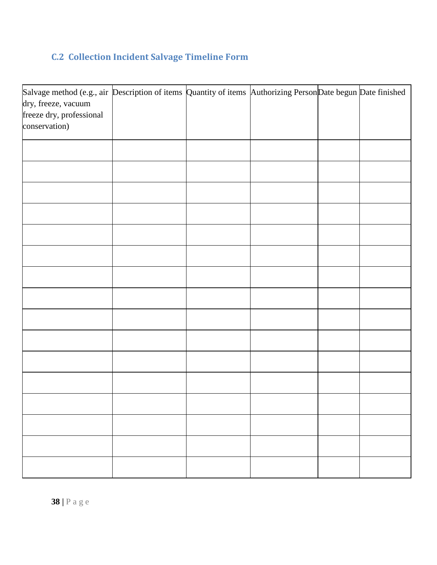## **C.2 Collection Incident Salvage Timeline Form**

| Salvage method (e.g., air Description of items Quantity of items Authorizing Person Date begun Date finished<br>dry, freeze, vacuum |  |  |  |
|-------------------------------------------------------------------------------------------------------------------------------------|--|--|--|
| freeze dry, professional                                                                                                            |  |  |  |
| conservation)                                                                                                                       |  |  |  |
|                                                                                                                                     |  |  |  |
|                                                                                                                                     |  |  |  |
|                                                                                                                                     |  |  |  |
|                                                                                                                                     |  |  |  |
|                                                                                                                                     |  |  |  |
|                                                                                                                                     |  |  |  |
|                                                                                                                                     |  |  |  |
|                                                                                                                                     |  |  |  |
|                                                                                                                                     |  |  |  |
|                                                                                                                                     |  |  |  |
|                                                                                                                                     |  |  |  |
|                                                                                                                                     |  |  |  |
|                                                                                                                                     |  |  |  |
|                                                                                                                                     |  |  |  |
|                                                                                                                                     |  |  |  |
|                                                                                                                                     |  |  |  |
|                                                                                                                                     |  |  |  |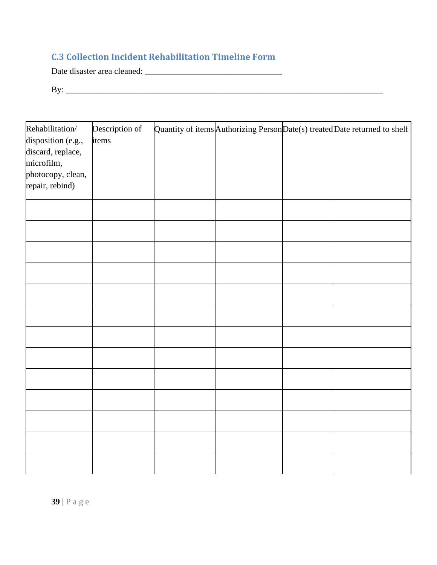## **C.3 Collection Incident Rehabilitation Timeline Form**

Date disaster area cleaned: \_\_\_\_\_\_\_\_\_\_\_\_\_\_\_\_\_\_\_\_\_\_\_\_\_\_\_\_\_\_\_\_

By: \_\_\_\_\_\_\_\_\_\_\_\_\_\_\_\_\_\_\_\_\_\_\_\_\_\_\_\_\_\_\_\_\_\_\_\_\_\_\_\_\_\_\_\_\_\_\_\_\_\_\_\_\_\_\_\_\_\_\_\_\_\_\_\_\_\_\_\_\_\_\_\_\_\_

| Rehabilitation/                      | Description of |  | Quantity of items Authorizing Person $Date(s)$ treated $Date$ returned to shelf |
|--------------------------------------|----------------|--|---------------------------------------------------------------------------------|
| disposition (e.g.,                   | items          |  |                                                                                 |
| discard, replace,                    |                |  |                                                                                 |
| microfilm,                           |                |  |                                                                                 |
| photocopy, clean,<br>repair, rebind) |                |  |                                                                                 |
|                                      |                |  |                                                                                 |
|                                      |                |  |                                                                                 |
|                                      |                |  |                                                                                 |
|                                      |                |  |                                                                                 |
|                                      |                |  |                                                                                 |
|                                      |                |  |                                                                                 |
|                                      |                |  |                                                                                 |
|                                      |                |  |                                                                                 |
|                                      |                |  |                                                                                 |
|                                      |                |  |                                                                                 |
|                                      |                |  |                                                                                 |
|                                      |                |  |                                                                                 |
|                                      |                |  |                                                                                 |
|                                      |                |  |                                                                                 |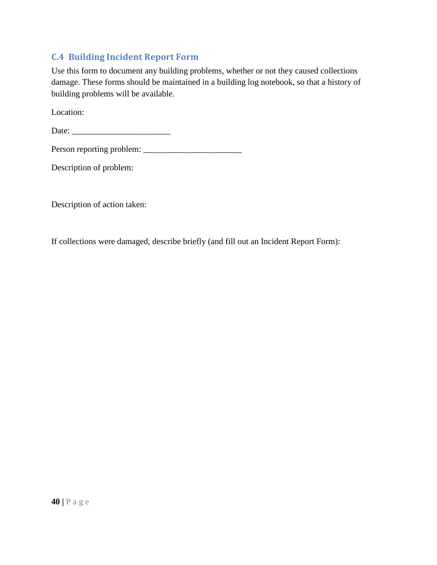### **C.4 Building Incident Report Form**

Use this form to document any building problems, whether or not they caused collections damage. These forms should be maintained in a building log notebook, so that a history of building problems will be available.

Location:

Date: \_\_\_\_\_\_\_\_\_\_\_\_\_\_\_\_\_\_\_\_\_\_\_

Person reporting problem: \_\_\_\_\_\_\_\_\_\_\_\_\_\_\_\_\_\_\_\_\_\_\_

Description of problem:

Description of action taken:

If collections were damaged, describe briefly (and fill out an Incident Report Form):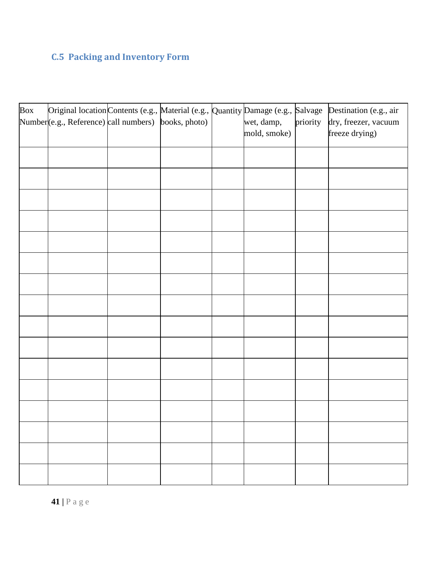## **C.5 Packing and Inventory Form**

| Box | Original location Contents (e.g., Material (e.g., Quantity Damage (e.g., Salvage<br>Number(e.g., Reference) call numbers) books, photo) |  | wet, damp,<br>mold, smoke) | priority | Destination (e.g., air<br>dry, freezer, vacuum<br>freeze drying) |
|-----|-----------------------------------------------------------------------------------------------------------------------------------------|--|----------------------------|----------|------------------------------------------------------------------|
|     |                                                                                                                                         |  |                            |          |                                                                  |
|     |                                                                                                                                         |  |                            |          |                                                                  |
|     |                                                                                                                                         |  |                            |          |                                                                  |
|     |                                                                                                                                         |  |                            |          |                                                                  |
|     |                                                                                                                                         |  |                            |          |                                                                  |
|     |                                                                                                                                         |  |                            |          |                                                                  |
|     |                                                                                                                                         |  |                            |          |                                                                  |
|     |                                                                                                                                         |  |                            |          |                                                                  |
|     |                                                                                                                                         |  |                            |          |                                                                  |
|     |                                                                                                                                         |  |                            |          |                                                                  |
|     |                                                                                                                                         |  |                            |          |                                                                  |
|     |                                                                                                                                         |  |                            |          |                                                                  |
|     |                                                                                                                                         |  |                            |          |                                                                  |
|     |                                                                                                                                         |  |                            |          |                                                                  |
|     |                                                                                                                                         |  |                            |          |                                                                  |
|     |                                                                                                                                         |  |                            |          |                                                                  |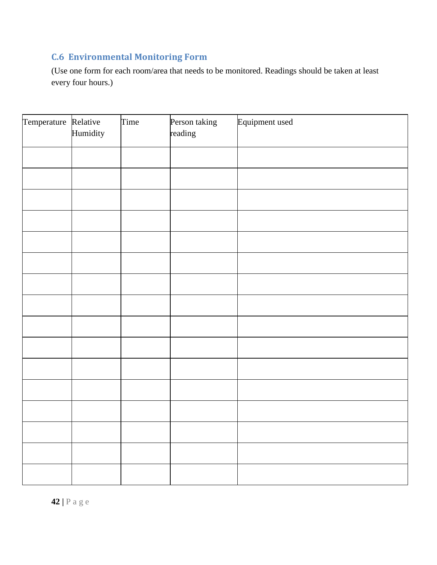## **C.6 Environmental Monitoring Form**

(Use one form for each room/area that needs to be monitored. Readings should be taken at least every four hours.)

| Temperature Relative | Humidity | Time | Person taking<br>reading | Equipment used |
|----------------------|----------|------|--------------------------|----------------|
|                      |          |      |                          |                |
|                      |          |      |                          |                |
|                      |          |      |                          |                |
|                      |          |      |                          |                |
|                      |          |      |                          |                |
|                      |          |      |                          |                |
|                      |          |      |                          |                |
|                      |          |      |                          |                |
|                      |          |      |                          |                |
|                      |          |      |                          |                |
|                      |          |      |                          |                |
|                      |          |      |                          |                |
|                      |          |      |                          |                |
|                      |          |      |                          |                |
|                      |          |      |                          |                |
|                      |          |      |                          |                |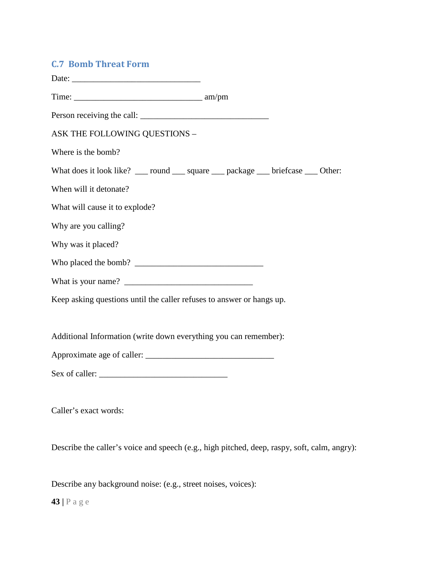### **C.7 Bomb Threat Form**

| ASK THE FOLLOWING QUESTIONS -                                                |  |
|------------------------------------------------------------------------------|--|
| Where is the bomb?                                                           |  |
| What does it look like? __ round __ square __ package __ briefcase __ Other: |  |
| When will it detonate?                                                       |  |
| What will cause it to explode?                                               |  |
| Why are you calling?                                                         |  |
| Why was it placed?                                                           |  |
|                                                                              |  |
|                                                                              |  |
| Keep asking questions until the caller refuses to answer or hangs up.        |  |
| Additional Information (write down everything you can remember):             |  |
|                                                                              |  |
|                                                                              |  |
|                                                                              |  |

Caller's exact words:

Describe the caller's voice and speech (e.g., high pitched, deep, raspy, soft, calm, angry):

Describe any background noise: (e.g., street noises, voices):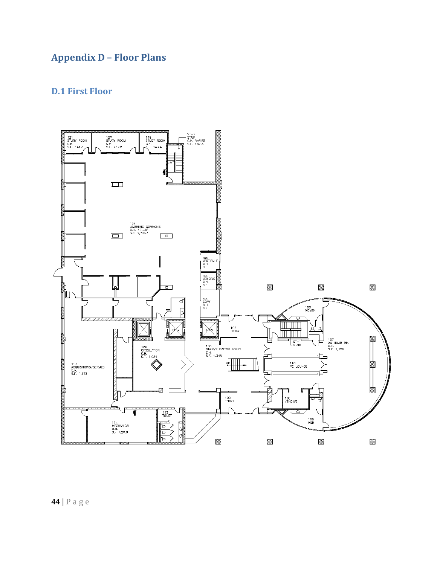## **Appendix D – Floor Plans**

## **D.1 First Floor**

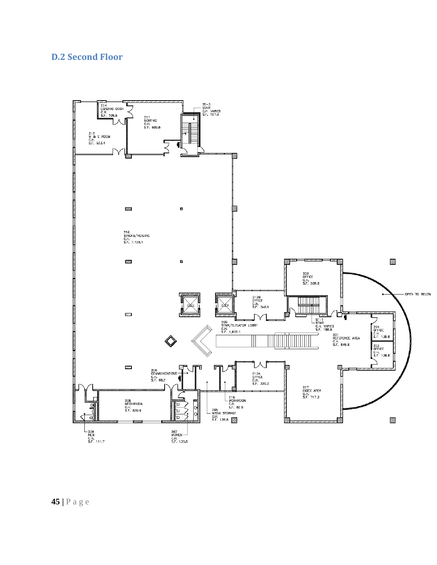## **D.2 Second Floor**



**45 |** Page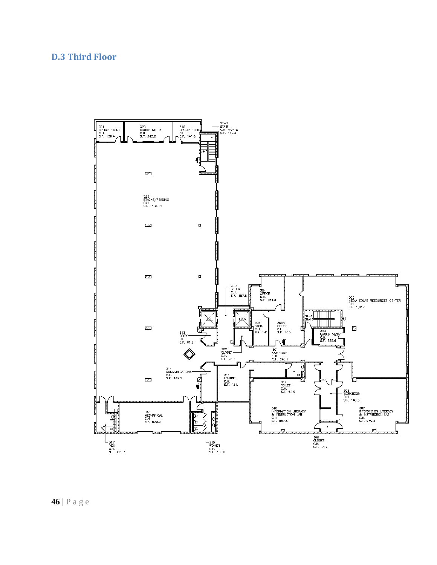## **D.3 Third Floor**



**46 |** Page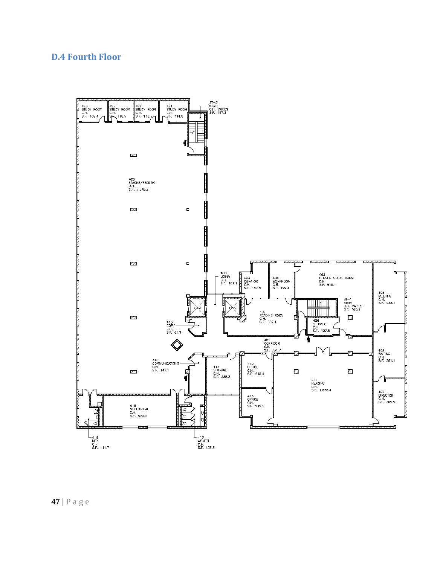## **D.4 Fourth Floor**



**47 |** Page